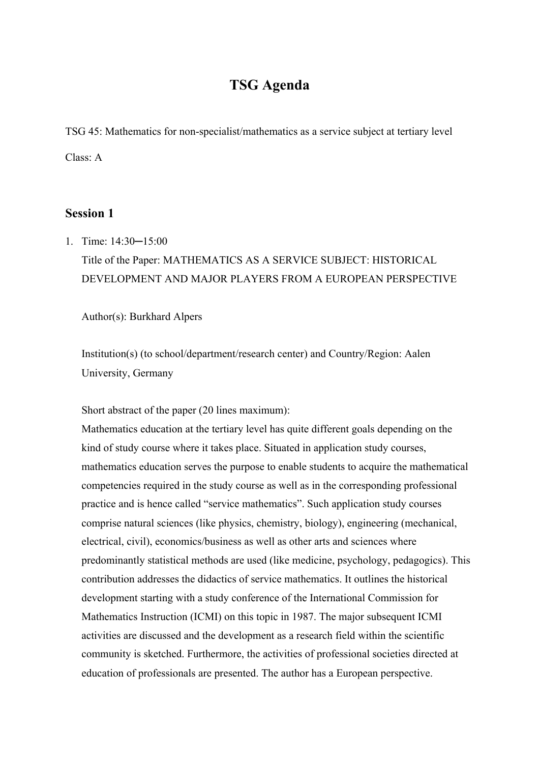# **TSG Agenda**

TSG 45: Mathematics for non-specialist/mathematics as a service subject at tertiary level Class: A

## **Session 1**

1. Time: 14:30─15:00 Title of the Paper: MATHEMATICS AS A SERVICE SUBJECT: HISTORICAL DEVELOPMENT AND MAJOR PLAYERS FROM A EUROPEAN PERSPECTIVE

Author(s): Burkhard Alpers

Institution(s) (to school/department/research center) and Country/Region: Aalen University, Germany

Short abstract of the paper (20 lines maximum):

Mathematics education at the tertiary level has quite different goals depending on the kind of study course where it takes place. Situated in application study courses, mathematics education serves the purpose to enable students to acquire the mathematical competencies required in the study course as well as in the corresponding professional practice and is hence called "service mathematics". Such application study courses comprise natural sciences (like physics, chemistry, biology), engineering (mechanical, electrical, civil), economics/business as well as other arts and sciences where predominantly statistical methods are used (like medicine, psychology, pedagogics). This contribution addresses the didactics of service mathematics. It outlines the historical development starting with a study conference of the International Commission for Mathematics Instruction (ICMI) on this topic in 1987. The major subsequent ICMI activities are discussed and the development as a research field within the scientific community is sketched. Furthermore, the activities of professional societies directed at education of professionals are presented. The author has a European perspective.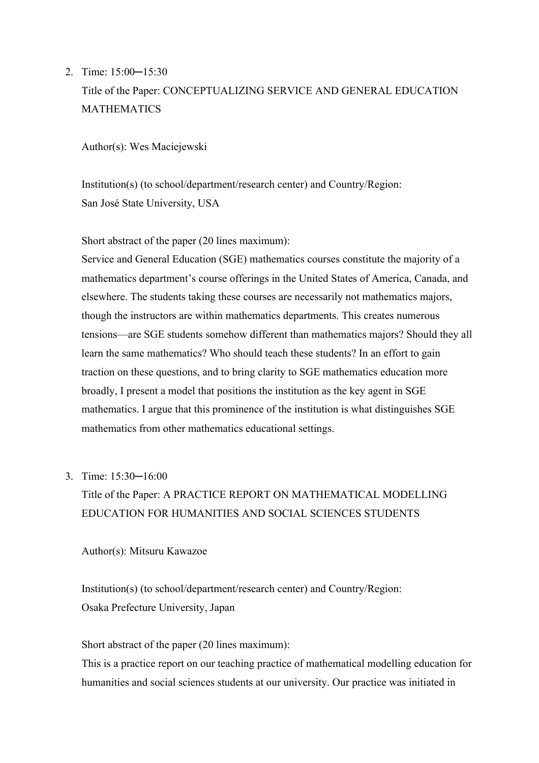2. Time: 15:00─15:30

# Title of the Paper: CONCEPTUALIZING SERVICE AND GENERAL EDUCATION MATHEMATICS

Author(s): Wes Maciejewski

Institution(s) (to school/department/research center) and Country/Region: San José State University, USA

Short abstract of the paper (20 lines maximum):

Service and General Education (SGE) mathematics courses constitute the majority of a mathematics department's course offerings in the United States of America, Canada, and elsewhere. The students taking these courses are necessarily not mathematics majors, though the instructors are within mathematics departments. This creates numerous tensions—are SGE students somehow different than mathematics majors? Should they all learn the same mathematics? Who should teach these students? In an effort to gain traction on these questions, and to bring clarity to SGE mathematics education more broadly, I present a model that positions the institution as the key agent in SGE mathematics. I argue that this prominence of the institution is what distinguishes SGE mathematics from other mathematics educational settings.

3. Time: 15:30─16:00

Title of the Paper: A PRACTICE REPORT ON MATHEMATICAL MODELLING EDUCATION FOR HUMANITIES AND SOCIAL SCIENCES STUDENTS

Author(s): Mitsuru Kawazoe

Institution(s) (to school/department/research center) and Country/Region: Osaka Prefecture University, Japan

Short abstract of the paper (20 lines maximum):

This is a practice report on our teaching practice of mathematical modelling education for humanities and social sciences students at our university. Our practice was initiated in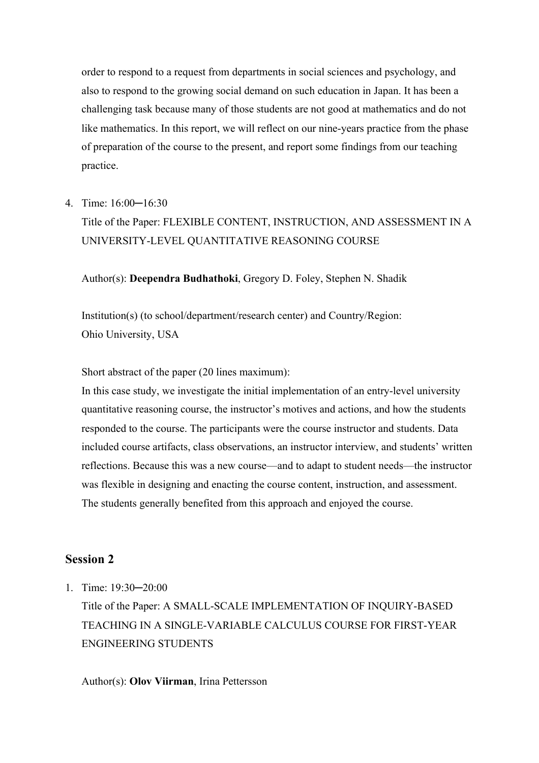order to respond to a request from departments in social sciences and psychology, and also to respond to the growing social demand on such education in Japan. It has been a challenging task because many of those students are not good at mathematics and do not like mathematics. In this report, we will reflect on our nine-years practice from the phase of preparation of the course to the present, and report some findings from our teaching practice.

4. Time: 16:00─16:30

# Title of the Paper: FLEXIBLE CONTENT, INSTRUCTION, AND ASSESSMENT IN A UNIVERSITY-LEVEL QUANTITATIVE REASONING COURSE

### Author(s): **Deependra Budhathoki**, Gregory D. Foley, Stephen N. Shadik

Institution(s) (to school/department/research center) and Country/Region: Ohio University, USA

Short abstract of the paper (20 lines maximum):

In this case study, we investigate the initial implementation of an entry-level university quantitative reasoning course, the instructor's motives and actions, and how the students responded to the course. The participants were the course instructor and students. Data included course artifacts, class observations, an instructor interview, and students' written reflections. Because this was a new course—and to adapt to student needs—the instructor was flexible in designing and enacting the course content, instruction, and assessment. The students generally benefited from this approach and enjoyed the course.

## **Session 2**

1. Time: 19:30─20:00

Title of the Paper: A SMALL-SCALE IMPLEMENTATION OF INQUIRY-BASED TEACHING IN A SINGLE-VARIABLE CALCULUS COURSE FOR FIRST-YEAR ENGINEERING STUDENTS

### Author(s): **Olov Viirman**, Irina Pettersson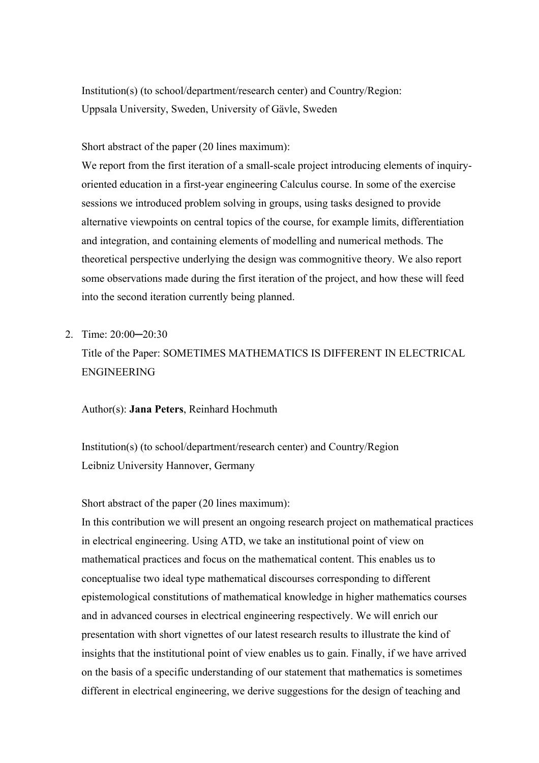Institution(s) (to school/department/research center) and Country/Region: Uppsala University, Sweden, University of Gävle, Sweden

Short abstract of the paper (20 lines maximum):

We report from the first iteration of a small-scale project introducing elements of inquiryoriented education in a first-year engineering Calculus course. In some of the exercise sessions we introduced problem solving in groups, using tasks designed to provide alternative viewpoints on central topics of the course, for example limits, differentiation and integration, and containing elements of modelling and numerical methods. The theoretical perspective underlying the design was commognitive theory. We also report some observations made during the first iteration of the project, and how these will feed into the second iteration currently being planned.

2. Time: 20:00-20:30

Title of the Paper: SOMETIMES MATHEMATICS IS DIFFERENT IN ELECTRICAL ENGINEERING

#### Author(s): **Jana Peters**, Reinhard Hochmuth

Institution(s) (to school/department/research center) and Country/Region Leibniz University Hannover, Germany

Short abstract of the paper (20 lines maximum):

In this contribution we will present an ongoing research project on mathematical practices in electrical engineering. Using ATD, we take an institutional point of view on mathematical practices and focus on the mathematical content. This enables us to conceptualise two ideal type mathematical discourses corresponding to different epistemological constitutions of mathematical knowledge in higher mathematics courses and in advanced courses in electrical engineering respectively. We will enrich our presentation with short vignettes of our latest research results to illustrate the kind of insights that the institutional point of view enables us to gain. Finally, if we have arrived on the basis of a specific understanding of our statement that mathematics is sometimes different in electrical engineering, we derive suggestions for the design of teaching and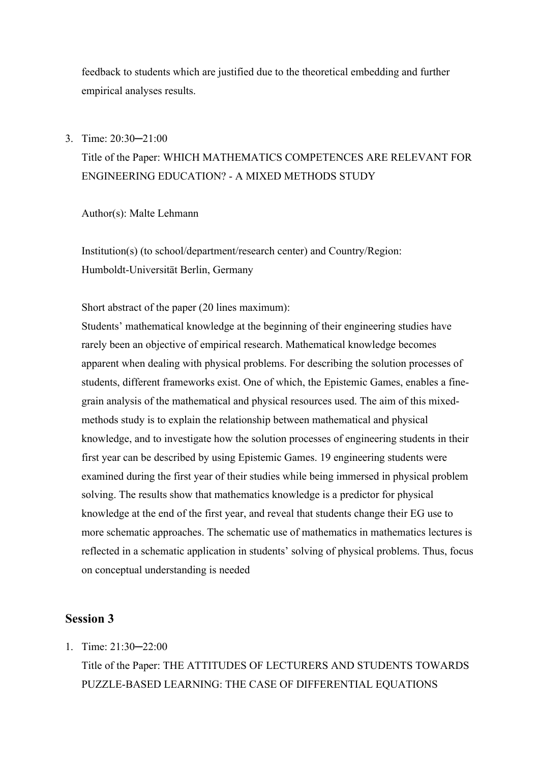feedback to students which are justified due to the theoretical embedding and further empirical analyses results.

### 3. Time: 20:30─21:00

# Title of the Paper: WHICH MATHEMATICS COMPETENCES ARE RELEVANT FOR ENGINEERING EDUCATION? - A MIXED METHODS STUDY

Author(s): Malte Lehmann

Institution(s) (to school/department/research center) and Country/Region: Humboldt-Universität Berlin, Germany

Short abstract of the paper (20 lines maximum):

Students' mathematical knowledge at the beginning of their engineering studies have rarely been an objective of empirical research. Mathematical knowledge becomes apparent when dealing with physical problems. For describing the solution processes of students, different frameworks exist. One of which, the Epistemic Games, enables a finegrain analysis of the mathematical and physical resources used. The aim of this mixedmethods study is to explain the relationship between mathematical and physical knowledge, and to investigate how the solution processes of engineering students in their first year can be described by using Epistemic Games. 19 engineering students were examined during the first year of their studies while being immersed in physical problem solving. The results show that mathematics knowledge is a predictor for physical knowledge at the end of the first year, and reveal that students change their EG use to more schematic approaches. The schematic use of mathematics in mathematics lectures is reflected in a schematic application in students' solving of physical problems. Thus, focus on conceptual understanding is needed

## **Session 3**

1. Time:  $21.30 - 22.00$ 

Title of the Paper: THE ATTITUDES OF LECTURERS AND STUDENTS TOWARDS PUZZLE-BASED LEARNING: THE CASE OF DIFFERENTIAL EQUATIONS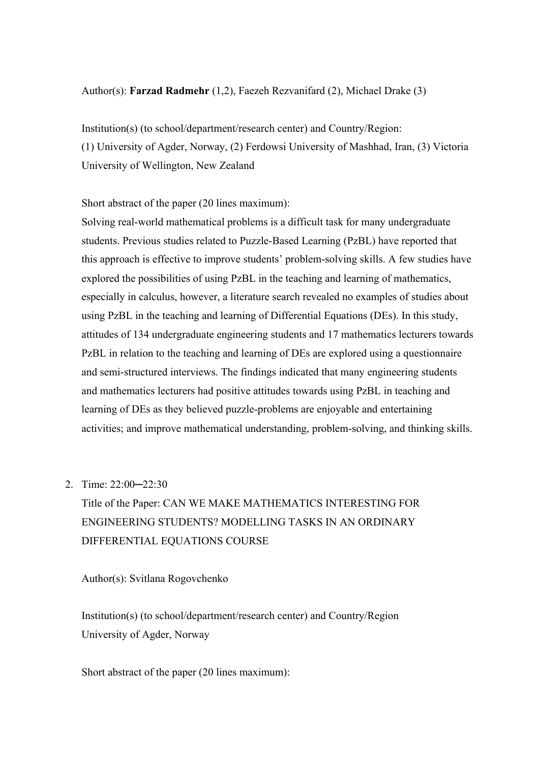### Author(s): **Farzad Radmehr** (1,2), Faezeh Rezvanifard (2), Michael Drake (3)

Institution(s) (to school/department/research center) and Country/Region: (1) University of Agder, Norway, (2) Ferdowsi University of Mashhad, Iran, (3) Victoria University of Wellington, New Zealand

Short abstract of the paper (20 lines maximum):

Solving real-world mathematical problems is a difficult task for many undergraduate students. Previous studies related to Puzzle-Based Learning (PzBL) have reported that this approach is effective to improve students' problem-solving skills. A few studies have explored the possibilities of using PzBL in the teaching and learning of mathematics, especially in calculus, however, a literature search revealed no examples of studies about using PzBL in the teaching and learning of Differential Equations (DEs). In this study, attitudes of 134 undergraduate engineering students and 17 mathematics lecturers towards PzBL in relation to the teaching and learning of DEs are explored using a questionnaire and semi-structured interviews. The findings indicated that many engineering students and mathematics lecturers had positive attitudes towards using PzBL in teaching and learning of DEs as they believed puzzle-problems are enjoyable and entertaining activities; and improve mathematical understanding, problem-solving, and thinking skills.

## 2. Time: 22:00─22:30

Title of the Paper: CAN WE MAKE MATHEMATICS INTERESTING FOR ENGINEERING STUDENTS? MODELLING TASKS IN AN ORDINARY DIFFERENTIAL EQUATIONS COURSE

Author(s): Svitlana Rogovchenko

Institution(s) (to school/department/research center) and Country/Region University of Agder, Norway

Short abstract of the paper (20 lines maximum):